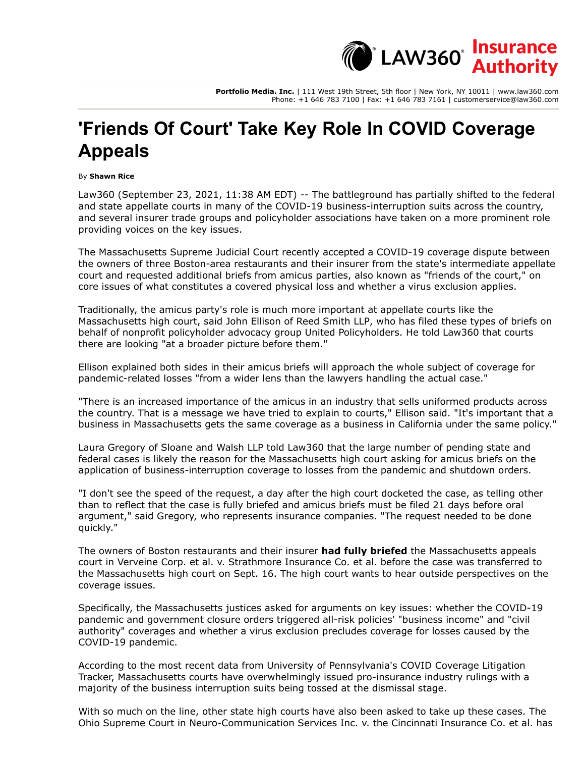$\mathring{\mathsf{C}}$  LAW360 $\mathring{\mathsf{C}}$ **Authority** 

**Portfolio Media. Inc.** | 111 West 19th Street, 5th floor | New York, NY 10011 | www.law360.com Phone: +1 646 783 7100 | Fax: +1 646 783 7161 | customerservice@law360.com

## **'Friends Of Court' Take Key Role In COVID Coverage Appeals**

By **Shawn Rice**

Law360 (September 23, 2021, 11:38 AM EDT) -- The battleground has partially shifted to the federal and state appellate courts in many of the COVID-19 business-interruption suits across the country, and several insurer trade groups and policyholder associations have taken on a more prominent role providing voices on the key issues.

The [Massachusetts Supreme Judicial Court](https://www.law360.com/agencies/massachusetts-supreme-judicial-court) recently accepted a COVID-19 coverage dispute between the owners of three Boston-area restaurants and their insurer from the state's intermediate appellate court and requested additional briefs from amicus parties, also known as "friends of the court," on core issues of what constitutes a covered physical loss and whether a virus exclusion applies.

Traditionally, the amicus party's role is much more important at appellate courts like the Massachusetts high court, said John Ellison of [Reed Smith LLP](https://www.law360.com/firms/reed-smith), who has filed these types of briefs on behalf of nonprofit policyholder advocacy group United Policyholders. He told Law360 that courts there are looking "at a broader picture before them."

Ellison explained both sides in their amicus briefs will approach the whole subject of coverage for pandemic-related losses "from a wider lens than the lawyers handling the actual case."

"There is an increased importance of the amicus in an industry that sells uniformed products across the country. That is a message we have tried to explain to courts," Ellison said. "It's important that a business in Massachusetts gets the same coverage as a business in California under the same policy."

Laura Gregory of [Sloane and Walsh LLP](https://www.law360.com/firms/sloane-walsh) told Law360 that the large number of pending state and federal cases is likely the reason for the Massachusetts high court asking for amicus briefs on the application of business-interruption coverage to losses from the pandemic and shutdown orders.

"I don't see the speed of the request, a day after the high court docketed the case, as telling other than to reflect that the case is fully briefed and amicus briefs must be filed 21 days before oral argument," said Gregory, who represents insurance companies. "The request needed to be done quickly."

The owners of Boston restaurants and their insurer **[had fully briefed](https://www.law360.com/articles/1403131/mass-court-is-told-eateries-covid-losses-aren-t-covered)** the Massachusetts appeals court in Verveine Corp. et al. v. Strathmore Insurance Co. et al. before the case was transferred to the Massachusetts high court on Sept. 16. The high court wants to hear outside perspectives on the coverage issues.

Specifically, the Massachusetts justices asked for arguments on key issues: whether the COVID-19 pandemic and government closure orders triggered all-risk policies' "business income" and "civil authority" coverages and whether a virus exclusion precludes coverage for losses caused by the COVID-19 pandemic.

According to the most recent data from University of Pennsylvania's COVID Coverage Litigation Tracker, Massachusetts courts have overwhelmingly issued pro-insurance industry rulings with a majority of the business interruption suits being tossed at the dismissal stage.

With so much on the line, other state high courts have also been asked to take up these cases. The [Ohio Supreme Court](https://www.law360.com/agencies/ohio-supreme-court) in Neuro-Communication Services Inc. v. the [Cincinnati Insurance Co](https://www.law360.com/companies/cincinnati-financial-corp). et al. has